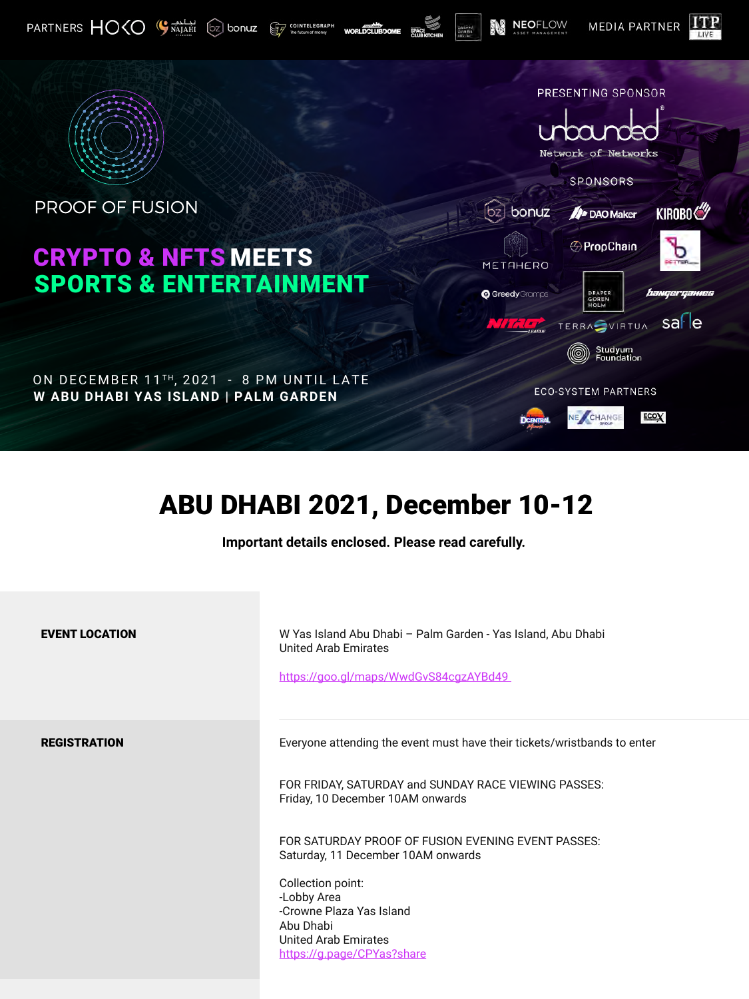

PRESENTING SPONSOR

**NEOFLOW** 





PROOF OF FUSION

## CRYPTO & NFTS MEETS SPORTS & ENTERTAINMENT



ON DECEMBER 11TH, 2021 - 8 PM UNTIL LATE **W ABU DHABI YAS ISLAND | PALM GARDEN**

# ABU DHABI 2021, December 10-12

**Important details enclosed. Please read carefully.**

EVENT LOCATION W Yas Island Abu Dhabi – Palm Garden - Yas Island, Abu Dhabi United Arab Emirates <https://goo.gl/maps/WwdGvS84cgzAYBd49> **REGISTRATION** Everyone attending the event must have their tickets/wristbands to enter FOR FRIDAY, SATURDAY and SUNDAY RACE VIEWING PASSES: Friday, 10 December 10AM onwards FOR SATURDAY PROOF OF FUSION EVENING EVENT PASSES: Saturday, 11 December 10AM onwards Collection point: -Lobby Area -Crowne Plaza Yas Island Abu Dhabi United Arab Emirates <https://g.page/CPYas?share>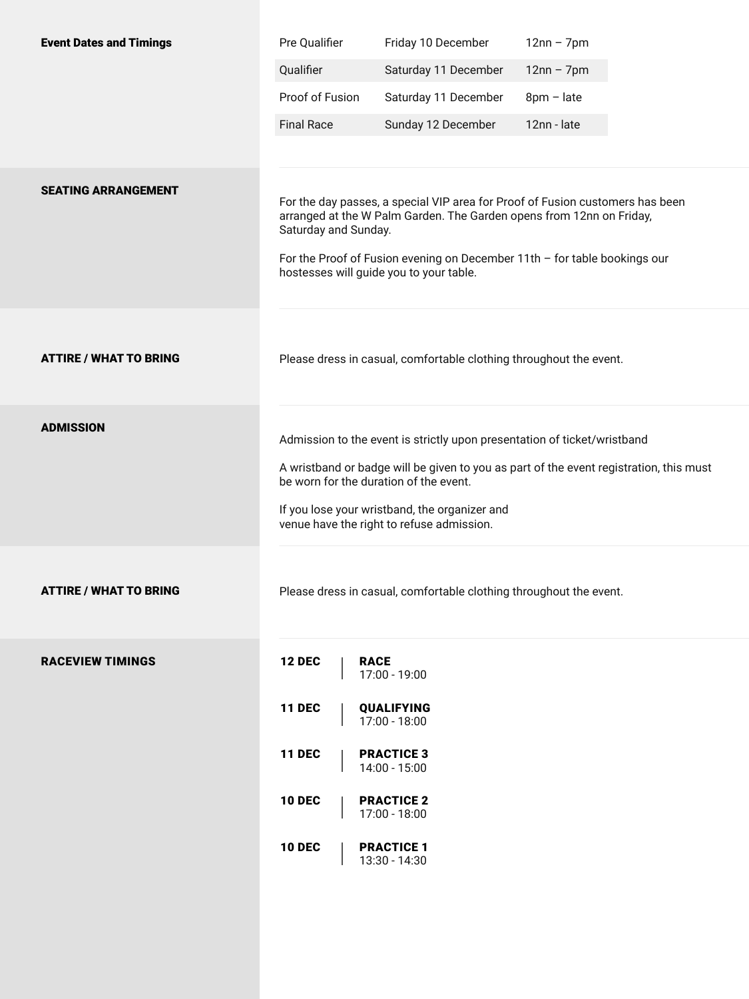| <b>Event Dates and Timings</b> | Pre Qualifier                                                                                                                                                                                                                                                                                           | Friday 10 December                   | $12nn - 7pm$ |
|--------------------------------|---------------------------------------------------------------------------------------------------------------------------------------------------------------------------------------------------------------------------------------------------------------------------------------------------------|--------------------------------------|--------------|
|                                | Qualifier                                                                                                                                                                                                                                                                                               | Saturday 11 December                 | $12nn - 7pm$ |
|                                | Proof of Fusion                                                                                                                                                                                                                                                                                         | Saturday 11 December                 | 8pm - late   |
|                                | <b>Final Race</b>                                                                                                                                                                                                                                                                                       | Sunday 12 December                   | 12nn - late  |
|                                |                                                                                                                                                                                                                                                                                                         |                                      |              |
| <b>SEATING ARRANGEMENT</b>     | For the day passes, a special VIP area for Proof of Fusion customers has been<br>arranged at the W Palm Garden. The Garden opens from 12nn on Friday,<br>Saturday and Sunday.<br>For the Proof of Fusion evening on December 11th $-$ for table bookings our<br>hostesses will guide you to your table. |                                      |              |
|                                |                                                                                                                                                                                                                                                                                                         |                                      |              |
| <b>ATTIRE / WHAT TO BRING</b>  | Please dress in casual, comfortable clothing throughout the event.                                                                                                                                                                                                                                      |                                      |              |
|                                |                                                                                                                                                                                                                                                                                                         |                                      |              |
| <b>ADMISSION</b>               | Admission to the event is strictly upon presentation of ticket/wristband<br>A wristband or badge will be given to you as part of the event registration, this must<br>be worn for the duration of the event.<br>If you lose your wristband, the organizer and                                           |                                      |              |
|                                | venue have the right to refuse admission.                                                                                                                                                                                                                                                               |                                      |              |
| <b>ATTIRE / WHAT TO BRING</b>  | Please dress in casual, comfortable clothing throughout the event.                                                                                                                                                                                                                                      |                                      |              |
| <b>RACEVIEW TIMINGS</b>        | <b>12 DEC</b>                                                                                                                                                                                                                                                                                           | <b>RACE</b><br>17:00 - 19:00         |              |
|                                | <b>11 DEC</b>                                                                                                                                                                                                                                                                                           | <b>QUALIFYING</b><br>$17:00 - 18:00$ |              |
|                                | <b>11 DEC</b>                                                                                                                                                                                                                                                                                           | <b>PRACTICE 3</b><br>14:00 - 15:00   |              |
|                                | <b>10 DEC</b>                                                                                                                                                                                                                                                                                           | <b>PRACTICE 2</b><br>$17:00 - 18:00$ |              |
|                                |                                                                                                                                                                                                                                                                                                         |                                      |              |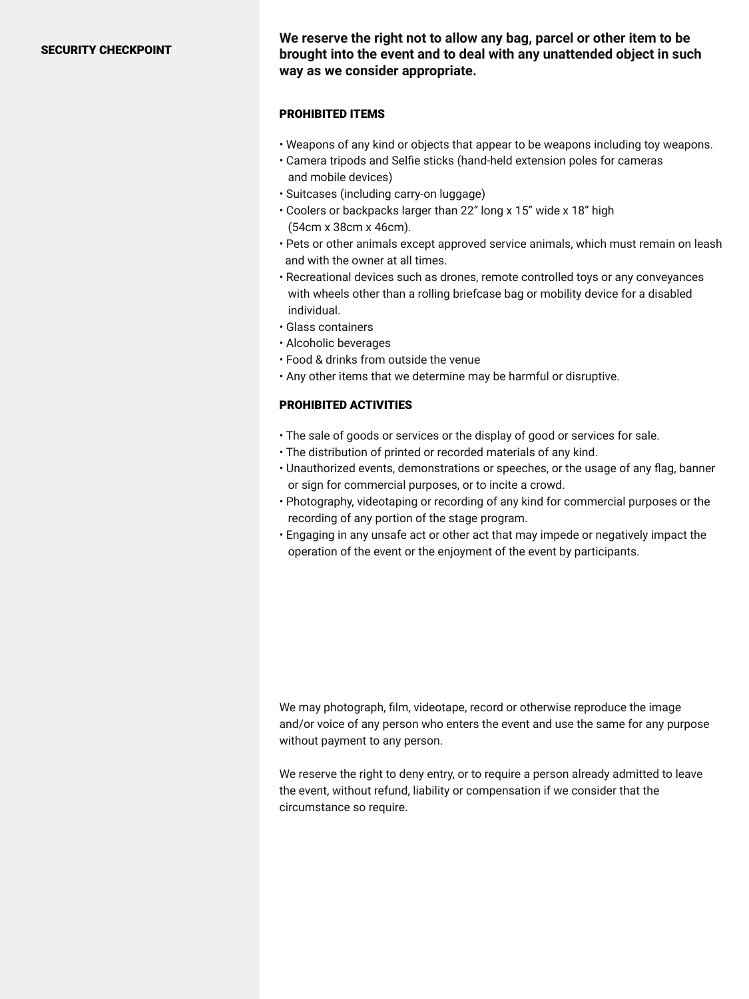**SECURITY CHECKPOINT**<br>SECURITY CHECKPOINT **We reserve the right not to allow any bag, parcel or other item to be brought into the event and to deal with any unattended object in such way as we consider appropriate.**

### PROHIBITED ITEMS

- Weapons of any kind or objects that appear to be weapons including toy weapons.
- Camera tripods and Selfie sticks (hand-held extension poles for cameras and mobile devices)
- Suitcases (including carry-on luggage)
- Coolers or backpacks larger than 22" long x 15" wide x 18" high (54cm x 38cm x 46cm).
- Pets or other animals except approved service animals, which must remain on leash and with the owner at all times.
- Recreational devices such as drones, remote controlled toys or any conveyances with wheels other than a rolling briefcase bag or mobility device for a disabled individual.
- Glass containers
- Alcoholic beverages
- Food & drinks from outside the venue
- Any other items that we determine may be harmful or disruptive.

## PROHIBITED ACTIVITIES

- The sale of goods or services or the display of good or services for sale.
- The distribution of printed or recorded materials of any kind.
- Unauthorized events, demonstrations or speeches, or the usage of any flag, banner or sign for commercial purposes, or to incite a crowd.
- Photography, videotaping or recording of any kind for commercial purposes or the recording of any portion of the stage program.
- Engaging in any unsafe act or other act that may impede or negatively impact the operation of the event or the enjoyment of the event by participants.

We may photograph, film, videotape, record or otherwise reproduce the image and/or voice of any person who enters the event and use the same for any purpose without payment to any person.

We reserve the right to deny entry, or to require a person already admitted to leave the event, without refund, liability or compensation if we consider that the circumstance so require.